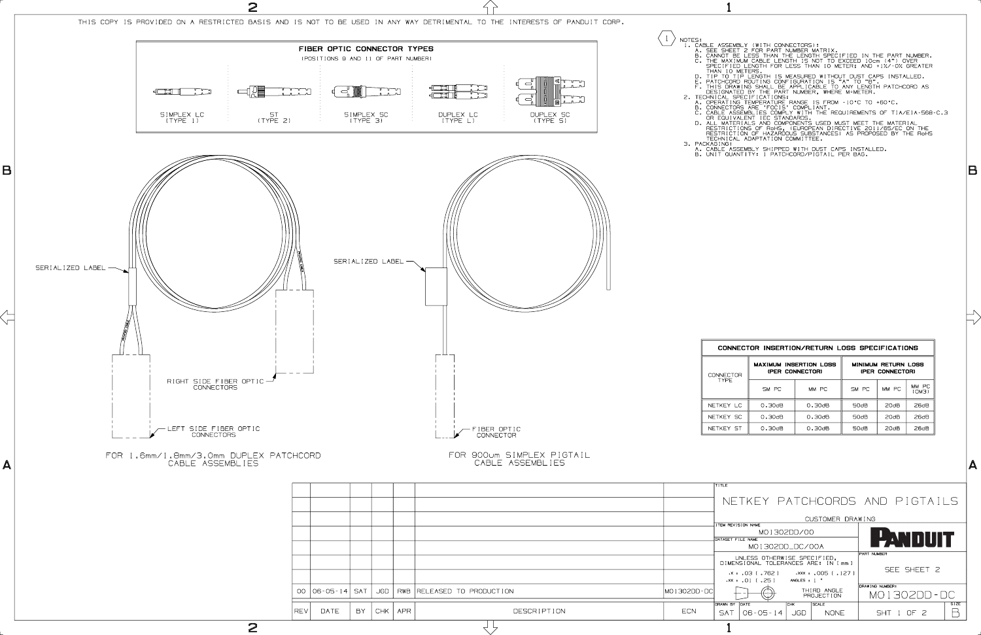A. CABLE ASSEMBLY SHIPPED WITH DUST CAPS INSTALLED. B. UNIT QUANTITY: 1 PATCHCORD/PIGTAIL PER BAG.

| CONNECTOR INSERTION/RETURN LOSS SPECIFICATIONS |                 |                               |                                               |                  |                  |  |  |
|------------------------------------------------|-----------------|-------------------------------|-----------------------------------------------|------------------|------------------|--|--|
| <b>INFCTOR</b>                                 | (PER CONNECTOR) | <b>MAXIMUM INSERTION LOSS</b> | <b>MINIMUM RETURN LOSS</b><br>(PER CONNECTOR) |                  |                  |  |  |
| <b>TYPF</b>                                    | SM PC           | MM PC                         | SM PC                                         | MM PC            | MM PC<br>(OM3)   |  |  |
| KEY LC                                         | 0.30dB          | 0.30dB                        | 50dB                                          | 20dB             | 26dB             |  |  |
| KFY SC                                         | $0.30$ d $B$    | $0.30$ d $B$                  | 50 <sub>d</sub> B                             | 20dB             | 26 <sub>dB</sub> |  |  |
| KEY ST                                         | 0.30dB          | 0.30dB                        | 50dB                                          | 20 <sub>dB</sub> | 26dB             |  |  |

B

TITLE

NETKEY PATCHCORDS AND PIGTAILS

|                                              |                          | CUSTOMER DRAWING          |                 |             |  |
|----------------------------------------------|--------------------------|---------------------------|-----------------|-------------|--|
| ITEM REVISION NAME                           |                          |                           |                 |             |  |
|                                              | MO1302DD/00              | PANDUIT                   |                 |             |  |
| DATASET FILE NAME                            |                          |                           |                 |             |  |
|                                              | MO1302DD_DC/00A          |                           |                 |             |  |
| UNLESS OTHERWISE SPECIFIED,                  |                          |                           | PART NUMBER     |             |  |
| DIMENSIONAL TOLERANCES ARE: IN [mm ]         |                          |                           | SEE SHEET 2     |             |  |
| .x ± .03 I .762 I                            |                          | .xxx ± .005 [ .127 ]      |                 |             |  |
| $\cdot$ xx $\cdot$ $\cdot$ 01 [ $\cdot$ 25 ] | ANGLES $\pm$ 1 $\degree$ |                           |                 |             |  |
|                                              |                          |                           | DRAWING NUMBER: |             |  |
|                                              |                          | THIRD ANGLE<br>PROJECTION | MO 1302DD - DC  |             |  |
| DRAWN BY<br>DATE                             | <b>CHK</b>               | <b>SCALE</b>              |                 | <b>SIZE</b> |  |
| $06 - 05 - 14$<br><b>SAT</b>                 | . JGD                    | <b>NONE</b>               | SHT 1 OF 2      |             |  |
|                                              |                          |                           |                 |             |  |



 $\overline{2}$  1

NOTES: A SEE ASSEMBLY (WITH CONNECTORS):<br>
1. CABLE ASSEMBLY (WITH CONNECTORS):<br>
1. A. SEE SHEET 2 ESS THAN THE LENGTH SPECIFIED IN THE PART NUMBER.<br>
1. CANNOT BE LESS THAN IO RETER IS NOT TO EXCEED IOOm (4") OVER<br>
1. THE M